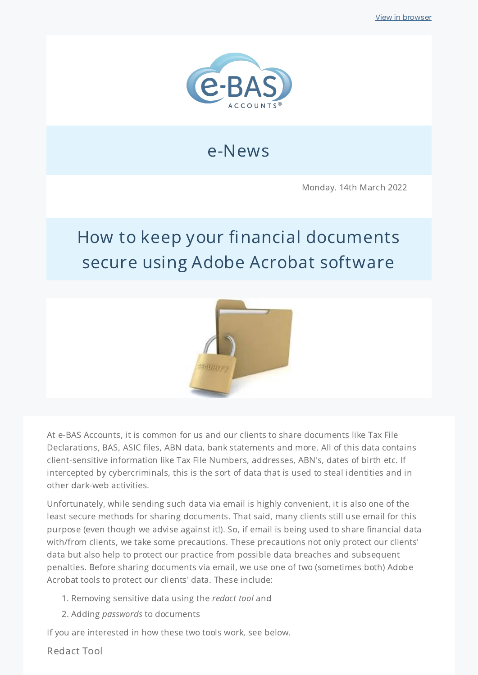

### e-News

Monday. 14th March 2022

## How to keep your financial documents secure using Adobe Acrobat software



At e-BAS Accounts, it is common for us and our clients to share documents like Tax File Declarations, BAS, ASIC files, ABN data, bank statements and more. All of this data contains client-sensitive information like Tax File Numbers, addresses, ABN's, dates of birth etc. If intercepted by cybercriminals, this is the sort of data that is used to steal identities and in other dark-web activities.

Unfortunately, while sending such data via email is highly convenient, it is also one of the least secure methods for sharing documents. That said, many clients still use email for this purpose (even though we advise against it!). So, if email is being used to share financial data with/from clients, we take some precautions. These precautions not only protect our clients' data but also help to protect our practice from possible data breaches and subsequent penalties. Before sharing documents via email, we use one of two (sometimes both) Adobe Acrobat tools to protect our clients' data. These include:

- 1. Removing sensitive data using the redact tool and
- 2. Adding passwords to documents

If you are interested in how these two tools work, see below.

Redact Tool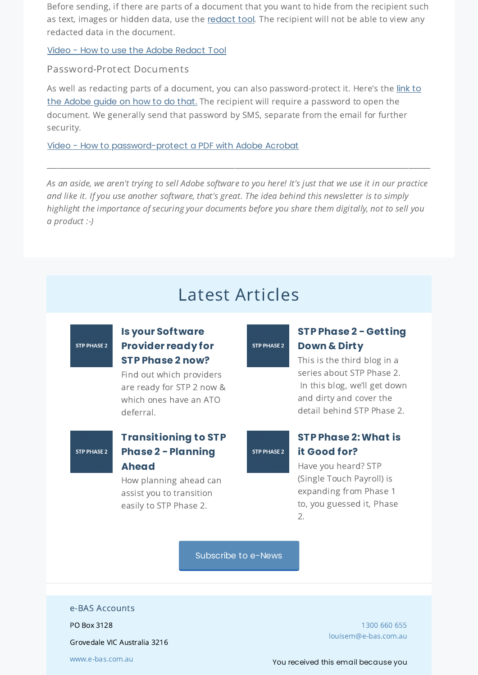Before sending, if there are parts of a document that you want to hide from the recipient such as text, images or hidden data, use the [redact](https://adobe.ly/3I1B83P) tool. The recipient will not be able to view any redacted data in the document.

Video - How to use the Adobe [Redact](https://youtu.be/AFJbeOvkW3Y) Tool

Password-Protect Documents

As well as redacting parts of a document, you can also [password-protect](https://adobe.ly/3JaF2J7) it. Here's the link to the Adobe guide on how to do that. The recipient will require a password to open the document. We generally send that password by SMS, separate from the email for further security.

Video - How to [password-protect](https://youtu.be/nBjYFb-gVnA) a PDF with Adobe Acrobat

As an aside, we aren't trying to sell Adobe software to you here! It's just that we use it in our practice and like it. If you use another software, that's great. The idea behind this newsletter is to simply highlight the importance of securing your documents before you share them digitally, not to sell you a product :-)

\_\_\_\_\_\_\_\_\_\_\_\_\_\_\_\_\_\_\_\_\_\_\_\_\_\_\_\_\_\_\_\_\_\_\_\_\_\_\_\_\_\_\_\_\_\_\_\_\_\_\_\_\_\_\_\_\_\_\_\_\_\_\_\_\_\_\_\_\_\_\_\_\_\_\_\_\_\_\_\_\_\_\_\_\_\_\_\_\_\_\_\_\_\_\_\_\_\_\_\_\_\_\_\_\_\_

### Latest Articles

### **STP PHASE 2**

#### **Is your [Software](https://www.e-bas.com.au/is-your-software-provider-ready-for-stp-phase-2-now/) Provider ready for STP Phase 2 now?**

Find out which providers are ready for STP 2 now & which ones have an ATO deferral.

## **STP PHASE 2**

### **[Transitioning](https://www.e-bas.com.au/transitioning-to-stp-phase-2-planning-ahead/) to STP Phase 2 - Planning Ahead**

How planning ahead can assist you to transition easily to STP Phase 2.

# **STP PHASE 2**

STP PHASE 2

### **STP Phase 2 - [Getting](https://www.e-bas.com.au/stp-phase-2-getting-down-and-dirty/) Down & Dirty**

This is the third blog in a series about STP Phase 2. In this blog, we'll get down and dirty and cover the detail behind STP Phase 2.

### **STP Phase [2:What](https://www.e-bas.com.au/stp-phase-2-what-is-it-good-for/) is it Good for?**

Have you heard? STP (Single Touch Payroll) is expanding from Phase 1 to, you guessed it, Phase 2.

[Subscribe](https://landing.mailerlite.com/webforms/landing/v8m1z3) to e-News

e-BAS Accounts

PO Box 3128

Grovedale VIC Australia 3216

[www.e-bas.com.au](https://www.e-bas.com.au/)

[1300](tel:1300 660 655) 660 655 [louisem@e-bas.com.au](mailto:louisem@e-bas.com.au)

You received this email because you